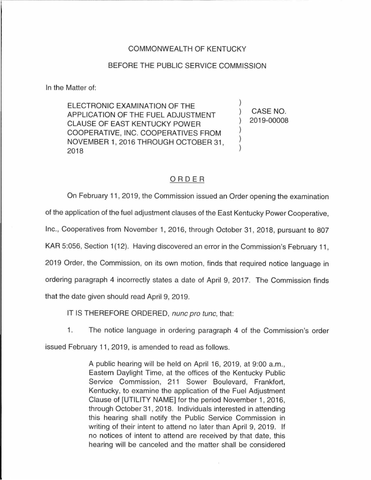## COMMONWEALTH OF KENTUCKY

## BEFORE THE PUBLIC SERVICE COMMISSION

In the Matter of:

ELECTRONIC EXAMINATION OF THE APPLICATION OF THE FUEL ADJUSTMENT CLAUSE OF EAST KENTUCKY POWER COOPERATIVE, INC. COOPERATIVES FROM NOVEMBER 1, 2016 THROUGH OCTOBER 31 , 2018

) CASE NO. ) 2019-00008

)

) ) )

## ORDER

On February 11 , 2019, the Commission issued an Order opening the examination of the application of the fuel adjustment clauses of the East Kentucky Power Cooperative, Inc., Cooperatives from November 1, 2016, through October 31 , 2018, pursuant to 807 KAR 5:056, Section 1(12). Having discovered an error in the Commission's February 11, 2019 Order, the Commission, on its own motion, finds that required notice language in ordering paragraph 4 incorrectly states a date of April 9, 2017. The Commission finds that the date given should read April 9, 2019.

IT IS THEREFORE ORDERED, nunc pro tunc, that:

1. The notice language in ordering paragraph 4 of the Commission's order

issued February 11, 2019, is amended to read as follows.

A public hearing will be held on April 16, 2019, at 9:00 a.m., Eastern Daylight Time, at the offices of the Kentucky Public Service Commission, 211 Sower Boulevard, Frankfort, Kentucky, to examine the application of the Fuel Adjustment Clause of (UTILITY NAME] for the period November 1, 2016, through October 31 , 2018. Individuals interested in attending this hearing shall notify the Public Service Commission in writing of their intent to attend no later than April 9, 2019. If no notices of intent to attend are received by that date, this hearing will be canceled and the matter shall be considered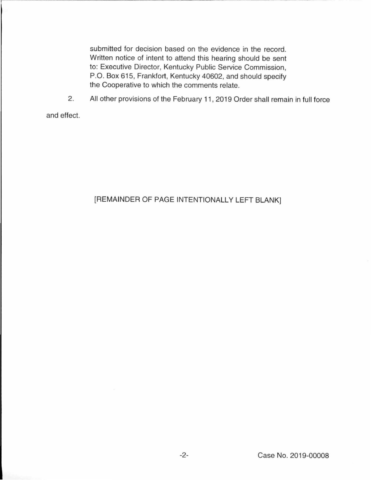submitted for decision based on the evidence in the record. Written notice of intent to attend this hearing should be sent to: Executive Director, Kentucky Public Service Commission, P.O. Box 615, Frankfort, Kentucky 40602, and should specify the Cooperative to which the comments relate.

2. All other provisions of the February 11 , 2019 Order shall remain in full force

and effect.

## [REMAINDER OF PAGE INTENTIONALLY LEFT BLANK]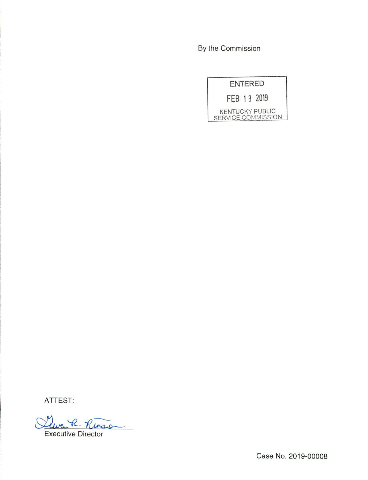By the Commission

| <b>ENTERED</b>         |                    |
|------------------------|--------------------|
| FEB 13 2019            |                    |
| <b>KENTUCKY PUBLIC</b> | SERVICE COMMISSION |

ATTEST:

Clurc R. Rinson

Case No. 2019-00008